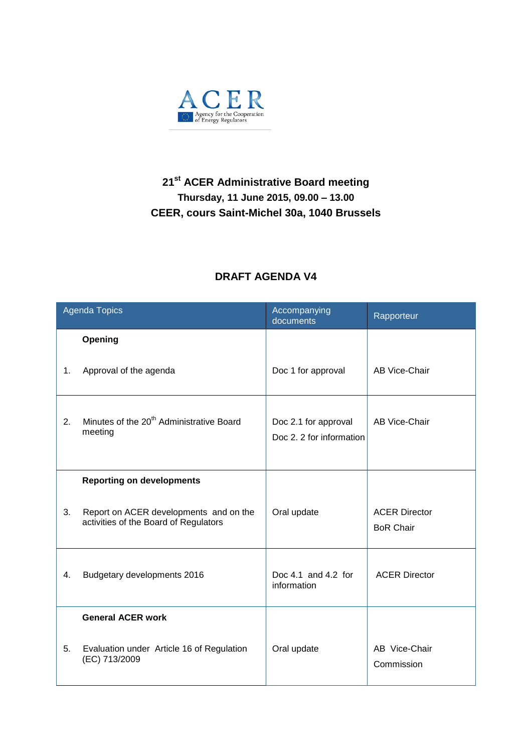

## **21 st ACER Administrative Board meeting Thursday, 11 June 2015, 09.00 – 13.00 CEER, cours Saint-Michel 30a, 1040 Brussels**

## **DRAFT AGENDA V4**

| <b>Agenda Topics</b> |                                                                                 | Accompanying<br>documents                        | Rapporteur                               |
|----------------------|---------------------------------------------------------------------------------|--------------------------------------------------|------------------------------------------|
|                      | Opening                                                                         |                                                  |                                          |
| 1.                   | Approval of the agenda                                                          | Doc 1 for approval                               | AB Vice-Chair                            |
| 2.                   | Minutes of the 20 <sup>th</sup> Administrative Board<br>meeting                 | Doc 2.1 for approval<br>Doc 2, 2 for information | AB Vice-Chair                            |
|                      | <b>Reporting on developments</b>                                                |                                                  |                                          |
| 3.                   | Report on ACER developments and on the<br>activities of the Board of Regulators | Oral update                                      | <b>ACER Director</b><br><b>BoR Chair</b> |
| 4.                   | Budgetary developments 2016                                                     | Doc 4.1 and 4.2 for<br>information               | <b>ACER Director</b>                     |
|                      | <b>General ACER work</b>                                                        |                                                  |                                          |
| 5.                   | Evaluation under Article 16 of Regulation<br>(EC) 713/2009                      | Oral update                                      | AB Vice-Chair<br>Commission              |